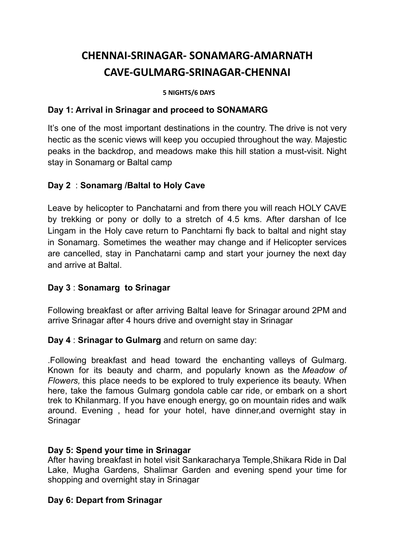# **CHENNAI-SRINAGAR- SONAMARG-AMARNATH CAVE-GULMARG-SRINAGAR-CHENNAI**

#### **5 NIGHTS/6 DAYS**

#### **Day 1: Arrival in Srinagar and proceed to SONAMARG**

It's one of the most important destinations in the country. The drive is not very hectic as the scenic views will keep you occupied throughout the way. Majestic peaks in the backdrop, and meadows make this hill station a must-visit. Night stay in Sonamarg or Baltal camp

## **Day 2** : **Sonamarg /Baltal to Holy Cave**

Leave by helicopter to Panchatarni and from there you will reach HOLY CAVE by trekking or pony or dolly to a stretch of 4.5 kms. After darshan of Ice Lingam in the Holy cave return to Panchtarni fly back to baltal and night stay in Sonamarg. Sometimes the weather may change and if Helicopter services are cancelled, stay in Panchatarni camp and start your journey the next day and arrive at Baltal.

## **Day 3** : **Sonamarg to Srinagar**

Following breakfast or after arriving Baltal leave for Srinagar around 2PM and arrive Srinagar after 4 hours drive and overnight stay in Srinagar

**Day 4** : **Srinagar to Gulmarg** and return on same day:

.Following breakfast and head toward the enchanting valleys of Gulmarg. Known for its beauty and charm, and popularly known as the *Meadow of Flowers,* this place needs to be explored to truly experience its beauty. When here, take the famous Gulmarg gondola cable car ride, or embark on a short trek to Khilanmarg. If you have enough energy, go on mountain rides and walk around. Evening , head for your hotel, have dinner,and overnight stay in **Srinagar** 

## **Day 5: Spend your time in Srinagar**

After having breakfast in hotel visit Sankaracharya Temple,Shikara Ride in Dal Lake, Mugha Gardens, Shalimar Garden and evening spend your time for shopping and overnight stay in Srinagar

## **Day 6: Depart from Srinagar**